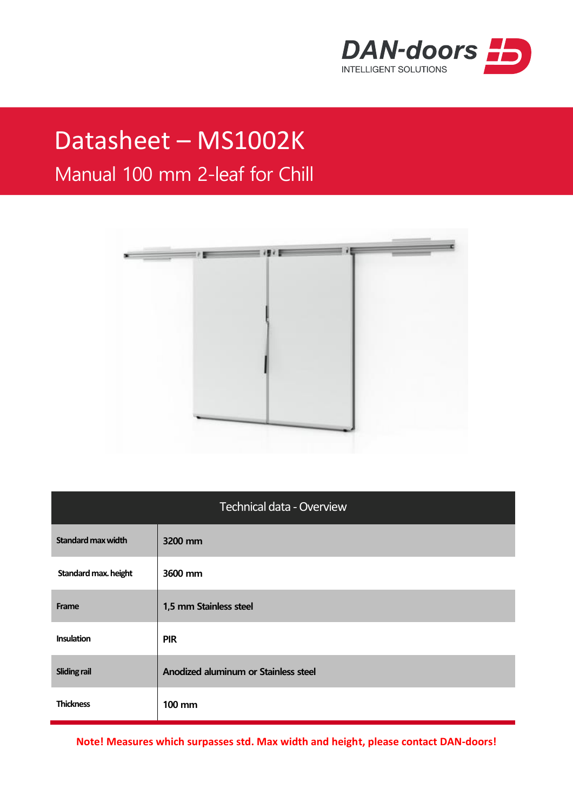

## Datasheet – MS1002K

## Manual 100 mm 2-leaf for Chill



| <b>Technical data - Overview</b> |                                      |  |
|----------------------------------|--------------------------------------|--|
| <b>Standard max width</b>        | 3200 mm                              |  |
| Standard max. height             | 3600 mm                              |  |
| Frame                            | 1,5 mm Stainless steel               |  |
| <b>Insulation</b>                | <b>PIR</b>                           |  |
| <b>Sliding rail</b>              | Anodized aluminum or Stainless steel |  |
| <b>Thickness</b>                 | $100 \text{ mm}$                     |  |

**Note! Measures which surpasses std. Max width and height, please contact DAN-doors!**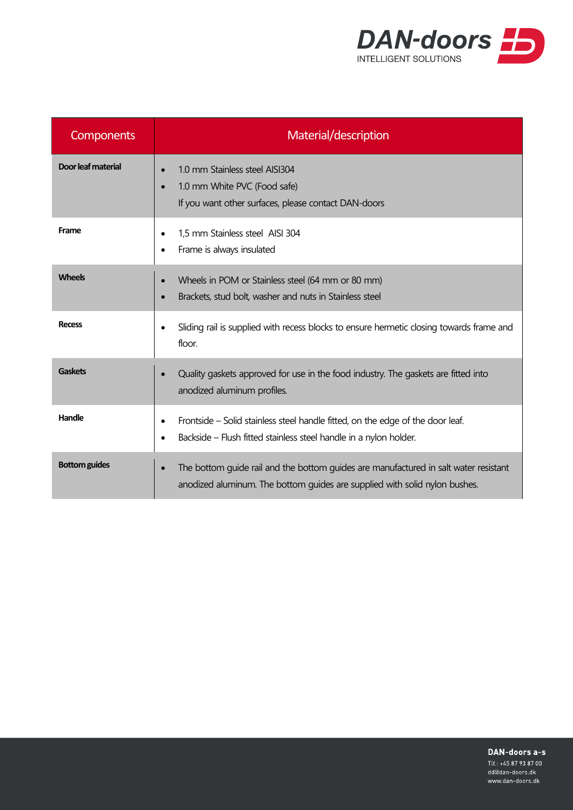

| <b>Components</b>    | Material/description                                                                                                                                               |
|----------------------|--------------------------------------------------------------------------------------------------------------------------------------------------------------------|
| Door leaf material   | 1.0 mm Stainless steel AISI304<br>1.0 mm White PVC (Food safe)<br>If you want other surfaces, please contact DAN-doors                                             |
| Frame                | 1,5 mm Stainless steel AISI 304<br>$\bullet$<br>Frame is always insulated                                                                                          |
| <b>Wheels</b>        | Wheels in POM or Stainless steel (64 mm or 80 mm)<br>Brackets, stud bolt, washer and nuts in Stainless steel                                                       |
| <b>Recess</b>        | Sliding rail is supplied with recess blocks to ensure hermetic dosing towards frame and<br>$\bullet$<br>floor.                                                     |
| <b>Gaskets</b>       | Quality gaskets approved for use in the food industry. The gaskets are fitted into<br>anodized aluminum profiles.                                                  |
| Handle               | Frontside – Solid stainless steel handle fitted, on the edge of the door leaf.<br>$\bullet$<br>Backside – Flush fitted stainless steel handle in a nylon holder.   |
| <b>Bottom guides</b> | The bottom guide rail and the bottom guides are manufactured in salt water resistant<br>anodized aluminum. The bottom guides are supplied with solid nylon bushes. |

DAN-doors a-s Tlf.: +45 87 93 87 00

dd@dan-doors.dk www.dan-doors.dk